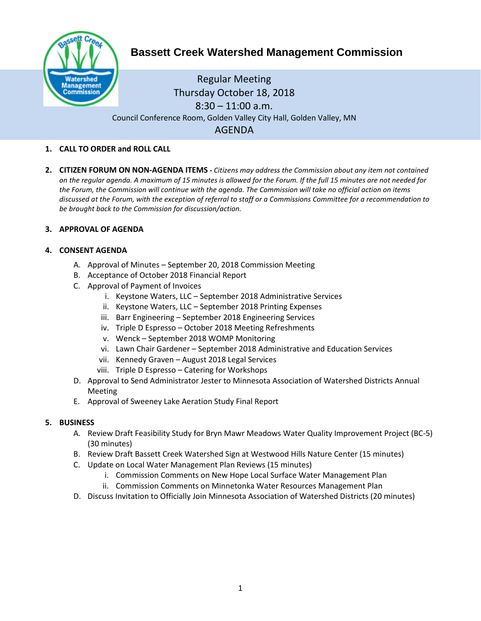

# **Bassett Creek Watershed Management Commission**

Regular Meeting Thursday October 18, 2018  $8:30 - 11:00$  a.m. Council Conference Room, Golden Valley City Hall, Golden Valley, MN AGENDA

## **1. CALL TO ORDER and ROLL CALL**

**2. CITIZEN FORUM ON NON-AGENDA ITEMS -** *Citizens may address the Commission about any item not contained on the regular agenda. A maximum of 15 minutes is allowed for the Forum. If the full 15 minutes are not needed for the Forum, the Commission will continue with the agenda. The Commission will take no official action on items discussed at the Forum, with the exception of referral to staff or a Commissions Committee for a recommendation to be brought back to the Commission for discussion/action.*

### **3. APPROVAL OF AGENDA**

### **4. CONSENT AGENDA**

- A. Approval of Minutes September 20, 2018 Commission Meeting
- B. Acceptance of October 2018 Financial Report
- C. Approval of Payment of Invoices
	- i. Keystone Waters, LLC September 2018 Administrative Services
	- ii. Keystone Waters, LLC September 2018 Printing Expenses
	- iii. Barr Engineering September 2018 Engineering Services
	- iv. Triple D Espresso October 2018 Meeting Refreshments
	- v. Wenck September 2018 WOMP Monitoring
	- vi. Lawn Chair Gardener September 2018 Administrative and Education Services
	- vii. Kennedy Graven August 2018 Legal Services
	- viii. Triple D Espresso Catering for Workshops
- D. Approval to Send Administrator Jester to Minnesota Association of Watershed Districts Annual Meeting
- E. Approval of Sweeney Lake Aeration Study Final Report

## **5. BUSINESS**

- A. Review Draft Feasibility Study for Bryn Mawr Meadows Water Quality Improvement Project (BC-5) (30 minutes)
- B. Review Draft Bassett Creek Watershed Sign at Westwood Hills Nature Center (15 minutes)
- C. Update on Local Water Management Plan Reviews (15 minutes)
	- i. Commission Comments on New Hope Local Surface Water Management Plan
	- ii. Commission Comments on Minnetonka Water Resources Management Plan
- D. Discuss Invitation to Officially Join Minnesota Association of Watershed Districts (20 minutes)